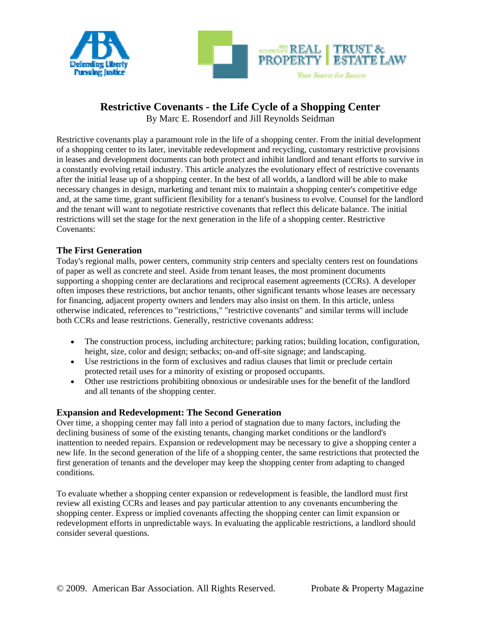



# **Restrictive Covenants - the Life Cycle of a Shopping Center**

By Marc E. Rosendorf and Jill Reynolds Seidman

Restrictive covenants play a paramount role in the life of a shopping center. From the initial development of a shopping center to its later, inevitable redevelopment and recycling, customary restrictive provisions in leases and development documents can both protect and inhibit landlord and tenant efforts to survive in a constantly evolving retail industry. This article analyzes the evolutionary effect of restrictive covenants after the initial lease up of a shopping center. In the best of all worlds, a landlord will be able to make necessary changes in design, marketing and tenant mix to maintain a shopping center's competitive edge and, at the same time, grant sufficient flexibility for a tenant's business to evolve. Counsel for the landlord and the tenant will want to negotiate restrictive covenants that reflect this delicate balance. The initial restrictions will set the stage for the next generation in the life of a shopping center. Restrictive Covenants:

# **The First Generation**

Today's regional malls, power centers, community strip centers and specialty centers rest on foundations of paper as well as concrete and steel. Aside from tenant leases, the most prominent documents supporting a shopping center are declarations and reciprocal easement agreements (CCRs). A developer often imposes these restrictions, but anchor tenants, other significant tenants whose leases are necessary for financing, adjacent property owners and lenders may also insist on them. In this article, unless otherwise indicated, references to "restrictions," "restrictive covenants" and similar terms will include both CCRs and lease restrictions. Generally, restrictive covenants address:

- The construction process, including architecture; parking ratios; building location, configuration, height, size, color and design; setbacks; on-and off-site signage; and landscaping.
- Use restrictions in the form of exclusives and radius clauses that limit or preclude certain protected retail uses for a minority of existing or proposed occupants.
- Other use restrictions prohibiting obnoxious or undesirable uses for the benefit of the landlord and all tenants of the shopping center.

### **Expansion and Redevelopment: The Second Generation**

Over time, a shopping center may fall into a period of stagnation due to many factors, including the declining business of some of the existing tenants, changing market conditions or the landlord's inattention to needed repairs. Expansion or redevelopment may be necessary to give a shopping center a new life. In the second generation of the life of a shopping center, the same restrictions that protected the first generation of tenants and the developer may keep the shopping center from adapting to changed conditions.

To evaluate whether a shopping center expansion or redevelopment is feasible, the landlord must first review all existing CCRs and leases and pay particular attention to any covenants encumbering the shopping center. Express or implied covenants affecting the shopping center can limit expansion or redevelopment efforts in unpredictable ways. In evaluating the applicable restrictions, a landlord should consider several questions.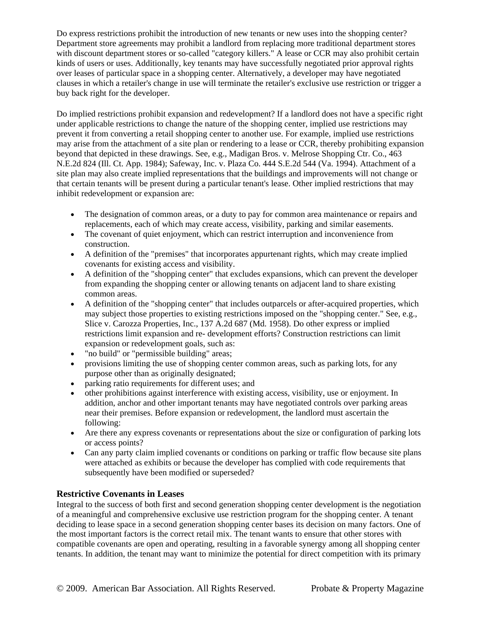Do express restrictions prohibit the introduction of new tenants or new uses into the shopping center? Department store agreements may prohibit a landlord from replacing more traditional department stores with discount department stores or so-called "category killers." A lease or CCR may also prohibit certain kinds of users or uses. Additionally, key tenants may have successfully negotiated prior approval rights over leases of particular space in a shopping center. Alternatively, a developer may have negotiated clauses in which a retailer's change in use will terminate the retailer's exclusive use restriction or trigger a buy back right for the developer.

Do implied restrictions prohibit expansion and redevelopment? If a landlord does not have a specific right under applicable restrictions to change the nature of the shopping center, implied use restrictions may prevent it from converting a retail shopping center to another use. For example, implied use restrictions may arise from the attachment of a site plan or rendering to a lease or CCR, thereby prohibiting expansion beyond that depicted in these drawings. See, e.g., Madigan Bros. v. Melrose Shopping Ctr. Co., 463 N.E.2d 824 (Ill. Ct. App. 1984); Safeway, Inc. v. Plaza Co. 444 S.E.2d 544 (Va. 1994). Attachment of a site plan may also create implied representations that the buildings and improvements will not change or that certain tenants will be present during a particular tenant's lease. Other implied restrictions that may inhibit redevelopment or expansion are:

- The designation of common areas, or a duty to pay for common area maintenance or repairs and replacements, each of which may create access, visibility, parking and similar easements.
- The covenant of quiet enjoyment, which can restrict interruption and inconvenience from construction.
- A definition of the "premises" that incorporates appurtenant rights, which may create implied covenants for existing access and visibility.
- A definition of the "shopping center" that excludes expansions, which can prevent the developer from expanding the shopping center or allowing tenants on adjacent land to share existing common areas.
- A definition of the "shopping center" that includes outparcels or after-acquired properties, which may subject those properties to existing restrictions imposed on the "shopping center." See, e.g., Slice v. Carozza Properties, Inc., 137 A.2d 687 (Md. 1958). Do other express or implied restrictions limit expansion and re- development efforts? Construction restrictions can limit expansion or redevelopment goals, such as:
- "no build" or "permissible building" areas;
- provisions limiting the use of shopping center common areas, such as parking lots, for any purpose other than as originally designated;
- parking ratio requirements for different uses; and
- other prohibitions against interference with existing access, visibility, use or enjoyment. In addition, anchor and other important tenants may have negotiated controls over parking areas near their premises. Before expansion or redevelopment, the landlord must ascertain the following:
- Are there any express covenants or representations about the size or configuration of parking lots or access points?
- Can any party claim implied covenants or conditions on parking or traffic flow because site plans were attached as exhibits or because the developer has complied with code requirements that subsequently have been modified or superseded?

### **Restrictive Covenants in Leases**

Integral to the success of both first and second generation shopping center development is the negotiation of a meaningful and comprehensive exclusive use restriction program for the shopping center. A tenant deciding to lease space in a second generation shopping center bases its decision on many factors. One of the most important factors is the correct retail mix. The tenant wants to ensure that other stores with compatible covenants are open and operating, resulting in a favorable synergy among all shopping center tenants. In addition, the tenant may want to minimize the potential for direct competition with its primary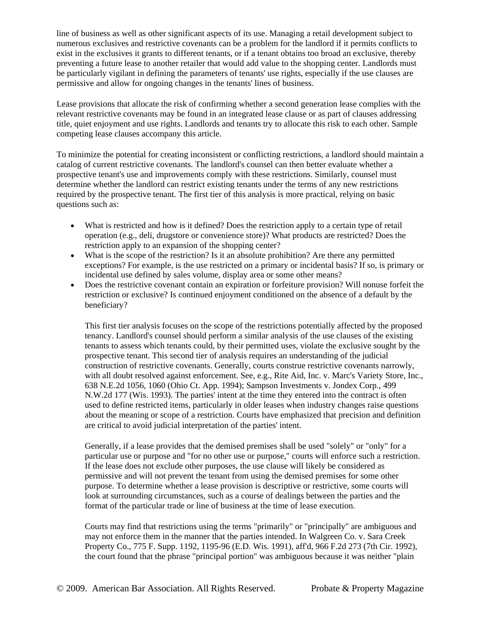line of business as well as other significant aspects of its use. Managing a retail development subject to numerous exclusives and restrictive covenants can be a problem for the landlord if it permits conflicts to exist in the exclusives it grants to different tenants, or if a tenant obtains too broad an exclusive, thereby preventing a future lease to another retailer that would add value to the shopping center. Landlords must be particularly vigilant in defining the parameters of tenants' use rights, especially if the use clauses are permissive and allow for ongoing changes in the tenants' lines of business.

Lease provisions that allocate the risk of confirming whether a second generation lease complies with the relevant restrictive covenants may be found in an integrated lease clause or as part of clauses addressing title, quiet enjoyment and use rights. Landlords and tenants try to allocate this risk to each other. Sample competing lease clauses accompany this article.

To minimize the potential for creating inconsistent or conflicting restrictions, a landlord should maintain a catalog of current restrictive covenants. The landlord's counsel can then better evaluate whether a prospective tenant's use and improvements comply with these restrictions. Similarly, counsel must determine whether the landlord can restrict existing tenants under the terms of any new restrictions required by the prospective tenant. The first tier of this analysis is more practical, relying on basic questions such as:

- What is restricted and how is it defined? Does the restriction apply to a certain type of retail operation (e.g., deli, drugstore or convenience store)? What products are restricted? Does the restriction apply to an expansion of the shopping center?
- What is the scope of the restriction? Is it an absolute prohibition? Are there any permitted exceptions? For example, is the use restricted on a primary or incidental basis? If so, is primary or incidental use defined by sales volume, display area or some other means?
- Does the restrictive covenant contain an expiration or forfeiture provision? Will nonuse forfeit the restriction or exclusive? Is continued enjoyment conditioned on the absence of a default by the beneficiary?

This first tier analysis focuses on the scope of the restrictions potentially affected by the proposed tenancy. Landlord's counsel should perform a similar analysis of the use clauses of the existing tenants to assess which tenants could, by their permitted uses, violate the exclusive sought by the prospective tenant. This second tier of analysis requires an understanding of the judicial construction of restrictive covenants. Generally, courts construe restrictive covenants narrowly, with all doubt resolved against enforcement. See, e.g., Rite Aid, Inc. v. Marc's Variety Store, Inc., 638 N.E.2d 1056, 1060 (Ohio Ct. App. 1994); Sampson Investments v. Jondex Corp., 499 N.W.2d 177 (Wis. 1993). The parties' intent at the time they entered into the contract is often used to define restricted items, particularly in older leases when industry changes raise questions about the meaning or scope of a restriction. Courts have emphasized that precision and definition are critical to avoid judicial interpretation of the parties' intent.

Generally, if a lease provides that the demised premises shall be used "solely" or "only" for a particular use or purpose and "for no other use or purpose," courts will enforce such a restriction. If the lease does not exclude other purposes, the use clause will likely be considered as permissive and will not prevent the tenant from using the demised premises for some other purpose. To determine whether a lease provision is descriptive or restrictive, some courts will look at surrounding circumstances, such as a course of dealings between the parties and the format of the particular trade or line of business at the time of lease execution.

Courts may find that restrictions using the terms "primarily" or "principally" are ambiguous and may not enforce them in the manner that the parties intended. In Walgreen Co. v. Sara Creek Property Co., 775 F. Supp. 1192, 1195-96 (E.D. Wis. 1991), aff'd, 966 F.2d 273 (7th Cir. 1992), the court found that the phrase "principal portion" was ambiguous because it was neither "plain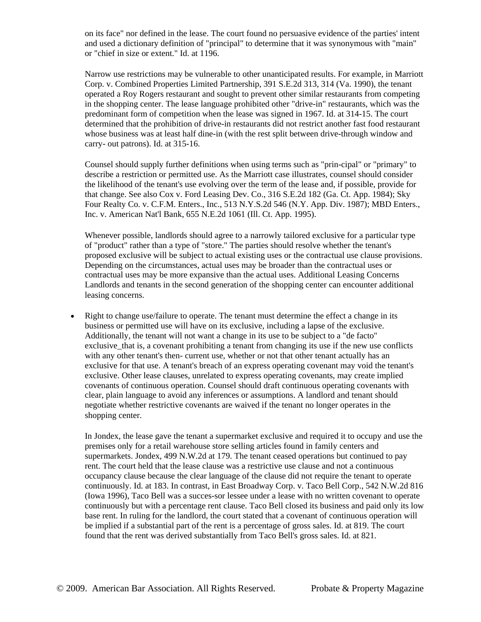on its face" nor defined in the lease. The court found no persuasive evidence of the parties' intent and used a dictionary definition of "principal" to determine that it was synonymous with "main" or "chief in size or extent." Id. at 1196.

Narrow use restrictions may be vulnerable to other unanticipated results. For example, in Marriott Corp. v. Combined Properties Limited Partnership, 391 S.E.2d 313, 314 (Va. 1990), the tenant operated a Roy Rogers restaurant and sought to prevent other similar restaurants from competing in the shopping center. The lease language prohibited other "drive-in" restaurants, which was the predominant form of competition when the lease was signed in 1967. Id. at 314-15. The court determined that the prohibition of drive-in restaurants did not restrict another fast food restaurant whose business was at least half dine-in (with the rest split between drive-through window and carry- out patrons). Id. at 315-16.

Counsel should supply further definitions when using terms such as "prin-cipal" or "primary" to describe a restriction or permitted use. As the Marriott case illustrates, counsel should consider the likelihood of the tenant's use evolving over the term of the lease and, if possible, provide for that change. See also Cox v. Ford Leasing Dev. Co., 316 S.E.2d 182 (Ga. Ct. App. 1984); Sky Four Realty Co. v. C.F.M. Enters., Inc., 513 N.Y.S.2d 546 (N.Y. App. Div. 1987); MBD Enters., Inc. v. American Nat'l Bank, 655 N.E.2d 1061 (Ill. Ct. App. 1995).

Whenever possible, landlords should agree to a narrowly tailored exclusive for a particular type of "product" rather than a type of "store." The parties should resolve whether the tenant's proposed exclusive will be subject to actual existing uses or the contractual use clause provisions. Depending on the circumstances, actual uses may be broader than the contractual uses or contractual uses may be more expansive than the actual uses. Additional Leasing Concerns Landlords and tenants in the second generation of the shopping center can encounter additional leasing concerns.

 Right to change use/failure to operate. The tenant must determine the effect a change in its business or permitted use will have on its exclusive, including a lapse of the exclusive. Additionally, the tenant will not want a change in its use to be subject to a "de facto" exclusive\_that is, a covenant prohibiting a tenant from changing its use if the new use conflicts with any other tenant's then- current use, whether or not that other tenant actually has an exclusive for that use. A tenant's breach of an express operating covenant may void the tenant's exclusive. Other lease clauses, unrelated to express operating covenants, may create implied covenants of continuous operation. Counsel should draft continuous operating covenants with clear, plain language to avoid any inferences or assumptions. A landlord and tenant should negotiate whether restrictive covenants are waived if the tenant no longer operates in the shopping center.

In Jondex, the lease gave the tenant a supermarket exclusive and required it to occupy and use the premises only for a retail warehouse store selling articles found in family centers and supermarkets. Jondex, 499 N.W.2d at 179. The tenant ceased operations but continued to pay rent. The court held that the lease clause was a restrictive use clause and not a continuous occupancy clause because the clear language of the clause did not require the tenant to operate continuously. Id. at 183. In contrast, in East Broadway Corp. v. Taco Bell Corp., 542 N.W.2d 816 (Iowa 1996), Taco Bell was a succes-sor lessee under a lease with no written covenant to operate continuously but with a percentage rent clause. Taco Bell closed its business and paid only its low base rent. In ruling for the landlord, the court stated that a covenant of continuous operation will be implied if a substantial part of the rent is a percentage of gross sales. Id. at 819. The court found that the rent was derived substantially from Taco Bell's gross sales. Id. at 821.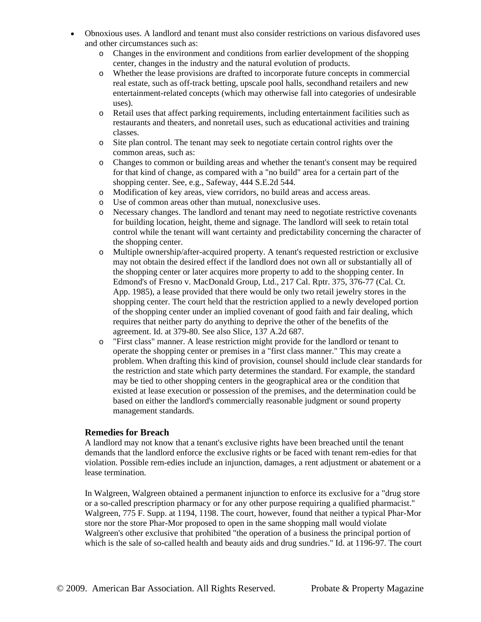- Obnoxious uses. A landlord and tenant must also consider restrictions on various disfavored uses and other circumstances such as:
	- o Changes in the environment and conditions from earlier development of the shopping center, changes in the industry and the natural evolution of products.
	- o Whether the lease provisions are drafted to incorporate future concepts in commercial real estate, such as off-track betting, upscale pool halls, secondhand retailers and new entertainment-related concepts (which may otherwise fall into categories of undesirable uses).
	- o Retail uses that affect parking requirements, including entertainment facilities such as restaurants and theaters, and nonretail uses, such as educational activities and training classes.
	- o Site plan control. The tenant may seek to negotiate certain control rights over the common areas, such as:
	- o Changes to common or building areas and whether the tenant's consent may be required for that kind of change, as compared with a "no build" area for a certain part of the shopping center. See, e.g., Safeway, 444 S.E.2d 544.
	- o Modification of key areas, view corridors, no build areas and access areas.
	- o Use of common areas other than mutual, nonexclusive uses.
	- o Necessary changes. The landlord and tenant may need to negotiate restrictive covenants for building location, height, theme and signage. The landlord will seek to retain total control while the tenant will want certainty and predictability concerning the character of the shopping center.
	- o Multiple ownership/after-acquired property. A tenant's requested restriction or exclusive may not obtain the desired effect if the landlord does not own all or substantially all of the shopping center or later acquires more property to add to the shopping center. In Edmond's of Fresno v. MacDonald Group, Ltd., 217 Cal. Rptr. 375, 376-77 (Cal. Ct. App. 1985), a lease provided that there would be only two retail jewelry stores in the shopping center. The court held that the restriction applied to a newly developed portion of the shopping center under an implied covenant of good faith and fair dealing, which requires that neither party do anything to deprive the other of the benefits of the agreement. Id. at 379-80. See also Slice, 137 A.2d 687.
	- o "First class" manner. A lease restriction might provide for the landlord or tenant to operate the shopping center or premises in a "first class manner." This may create a problem. When drafting this kind of provision, counsel should include clear standards for the restriction and state which party determines the standard. For example, the standard may be tied to other shopping centers in the geographical area or the condition that existed at lease execution or possession of the premises, and the determination could be based on either the landlord's commercially reasonable judgment or sound property management standards.

#### **Remedies for Breach**

A landlord may not know that a tenant's exclusive rights have been breached until the tenant demands that the landlord enforce the exclusive rights or be faced with tenant rem-edies for that violation. Possible rem-edies include an injunction, damages, a rent adjustment or abatement or a lease termination.

In Walgreen, Walgreen obtained a permanent injunction to enforce its exclusive for a "drug store or a so-called prescription pharmacy or for any other purpose requiring a qualified pharmacist." Walgreen, 775 F. Supp. at 1194, 1198. The court, however, found that neither a typical Phar-Mor store nor the store Phar-Mor proposed to open in the same shopping mall would violate Walgreen's other exclusive that prohibited "the operation of a business the principal portion of which is the sale of so-called health and beauty aids and drug sundries." Id. at 1196-97. The court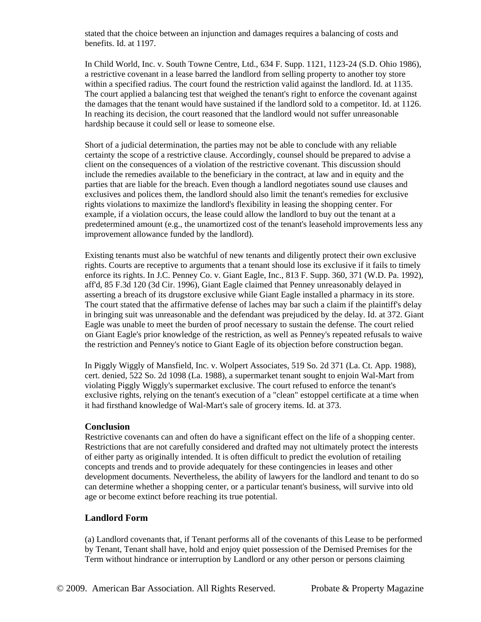stated that the choice between an injunction and damages requires a balancing of costs and benefits. Id. at 1197.

In Child World, Inc. v. South Towne Centre, Ltd., 634 F. Supp. 1121, 1123-24 (S.D. Ohio 1986), a restrictive covenant in a lease barred the landlord from selling property to another toy store within a specified radius. The court found the restriction valid against the landlord. Id. at 1135. The court applied a balancing test that weighed the tenant's right to enforce the covenant against the damages that the tenant would have sustained if the landlord sold to a competitor. Id. at 1126. In reaching its decision, the court reasoned that the landlord would not suffer unreasonable hardship because it could sell or lease to someone else.

Short of a judicial determination, the parties may not be able to conclude with any reliable certainty the scope of a restrictive clause. Accordingly, counsel should be prepared to advise a client on the consequences of a violation of the restrictive covenant. This discussion should include the remedies available to the beneficiary in the contract, at law and in equity and the parties that are liable for the breach. Even though a landlord negotiates sound use clauses and exclusives and polices them, the landlord should also limit the tenant's remedies for exclusive rights violations to maximize the landlord's flexibility in leasing the shopping center. For example, if a violation occurs, the lease could allow the landlord to buy out the tenant at a predetermined amount (e.g., the unamortized cost of the tenant's leasehold improvements less any improvement allowance funded by the landlord).

Existing tenants must also be watchful of new tenants and diligently protect their own exclusive rights. Courts are receptive to arguments that a tenant should lose its exclusive if it fails to timely enforce its rights. In J.C. Penney Co. v. Giant Eagle, Inc., 813 F. Supp. 360, 371 (W.D. Pa. 1992), aff'd, 85 F.3d 120 (3d Cir. 1996), Giant Eagle claimed that Penney unreasonably delayed in asserting a breach of its drugstore exclusive while Giant Eagle installed a pharmacy in its store. The court stated that the affirmative defense of laches may bar such a claim if the plaintiff's delay in bringing suit was unreasonable and the defendant was prejudiced by the delay. Id. at 372. Giant Eagle was unable to meet the burden of proof necessary to sustain the defense. The court relied on Giant Eagle's prior knowledge of the restriction, as well as Penney's repeated refusals to waive the restriction and Penney's notice to Giant Eagle of its objection before construction began.

In Piggly Wiggly of Mansfield, Inc. v. Wolpert Associates, 519 So. 2d 371 (La. Ct. App. 1988), cert. denied, 522 So. 2d 1098 (La. 1988), a supermarket tenant sought to enjoin Wal-Mart from violating Piggly Wiggly's supermarket exclusive. The court refused to enforce the tenant's exclusive rights, relying on the tenant's execution of a "clean" estoppel certificate at a time when it had firsthand knowledge of Wal-Mart's sale of grocery items. Id. at 373.

#### **Conclusion**

Restrictive covenants can and often do have a significant effect on the life of a shopping center. Restrictions that are not carefully considered and drafted may not ultimately protect the interests of either party as originally intended. It is often difficult to predict the evolution of retailing concepts and trends and to provide adequately for these contingencies in leases and other development documents. Nevertheless, the ability of lawyers for the landlord and tenant to do so can determine whether a shopping center, or a particular tenant's business, will survive into old age or become extinct before reaching its true potential.

#### **Landlord Form**

(a) Landlord covenants that, if Tenant performs all of the covenants of this Lease to be performed by Tenant, Tenant shall have, hold and enjoy quiet possession of the Demised Premises for the Term without hindrance or interruption by Landlord or any other person or persons claiming